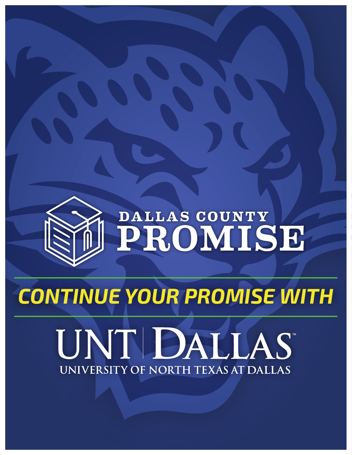

# DALLAS COUNTY

## *CONTINUE YOUR PROMISE WITH*

# UNTIDALLAS UNIVERSITY OF NORTH TEXAS AT DALLAS